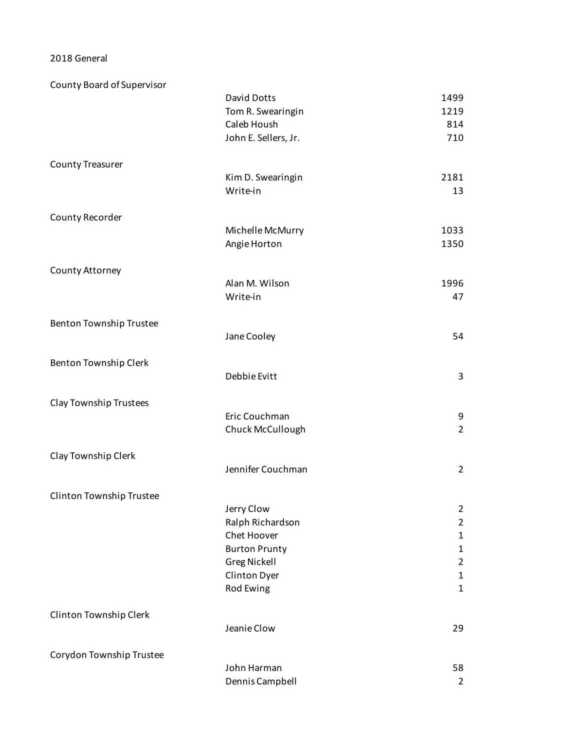2018 General

| County Board of Supervisor |                      |                |
|----------------------------|----------------------|----------------|
|                            | David Dotts          | 1499           |
|                            | Tom R. Swearingin    | 1219           |
|                            | Caleb Housh          | 814            |
|                            | John E. Sellers, Jr. | 710            |
| <b>County Treasurer</b>    |                      |                |
|                            | Kim D. Swearingin    | 2181           |
|                            | Write-in             | 13             |
| County Recorder            |                      |                |
|                            | Michelle McMurry     | 1033           |
|                            | Angie Horton         | 1350           |
| County Attorney            |                      |                |
|                            | Alan M. Wilson       | 1996           |
|                            | Write-in             | 47             |
| Benton Township Trustee    |                      |                |
|                            | Jane Cooley          | 54             |
| Benton Township Clerk      |                      |                |
|                            | Debbie Evitt         | 3              |
| Clay Township Trustees     |                      |                |
|                            | Eric Couchman        | 9              |
|                            | Chuck McCullough     | $\overline{2}$ |
| Clay Township Clerk        |                      |                |
|                            | Jennifer Couchman    | $\overline{2}$ |
| Clinton Township Trustee   |                      |                |
|                            | Jerry Clow           | $\overline{2}$ |
|                            | Ralph Richardson     | $\overline{2}$ |
|                            | Chet Hoover          | 1              |
|                            | <b>Burton Prunty</b> | $\mathbf{1}$   |
|                            | <b>Greg Nickell</b>  | $\overline{2}$ |
|                            | Clinton Dyer         | $\mathbf{1}$   |
|                            | Rod Ewing            | $\mathbf{1}$   |
| Clinton Township Clerk     |                      |                |
|                            | Jeanie Clow          | 29             |
| Corydon Township Trustee   |                      |                |
|                            | John Harman          | 58             |
|                            | Dennis Campbell      | $\overline{2}$ |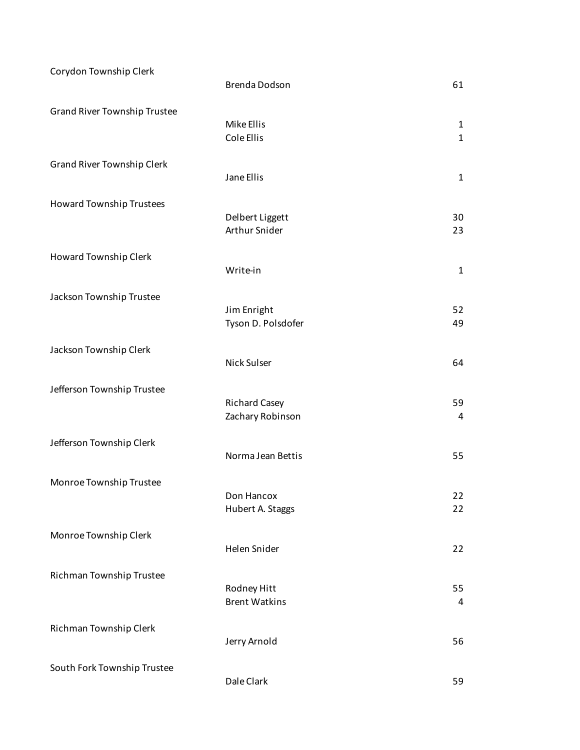| Corydon Township Clerk              | Brenda Dodson                            | 61                           |
|-------------------------------------|------------------------------------------|------------------------------|
| <b>Grand River Township Trustee</b> | Mike Ellis<br>Cole Ellis                 | $\mathbf{1}$<br>$\mathbf{1}$ |
| <b>Grand River Township Clerk</b>   | Jane Ellis                               | $\mathbf{1}$                 |
| Howard Township Trustees            | Delbert Liggett<br>Arthur Snider         | 30<br>23                     |
| Howard Township Clerk               | Write-in                                 | $\mathbf{1}$                 |
| Jackson Township Trustee            | Jim Enright<br>Tyson D. Polsdofer        | 52<br>49                     |
| Jackson Township Clerk              | Nick Sulser                              | 64                           |
| Jefferson Township Trustee          | <b>Richard Casey</b><br>Zachary Robinson | 59<br>4                      |
| Jefferson Township Clerk            | Norma Jean Bettis                        | 55                           |
| Monroe Township Trustee             | Don Hancox<br>Hubert A. Staggs           | 22<br>22                     |
| Monroe Township Clerk               | Helen Snider                             | 22                           |
| Richman Township Trustee            | Rodney Hitt<br><b>Brent Watkins</b>      | 55<br>4                      |
| Richman Township Clerk              | Jerry Arnold                             | 56                           |
| South Fork Township Trustee         | Dale Clark                               | 59                           |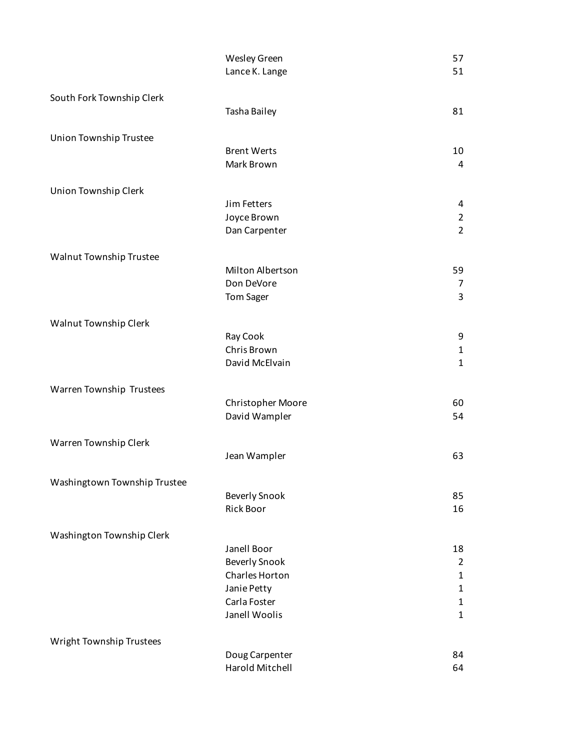|                              | Wesley Green               | 57                  |
|------------------------------|----------------------------|---------------------|
|                              | Lance K. Lange             | 51                  |
|                              |                            |                     |
| South Fork Township Clerk    |                            |                     |
|                              | Tasha Bailey               | 81                  |
| Union Township Trustee       |                            |                     |
|                              | <b>Brent Werts</b>         | 10                  |
|                              | Mark Brown                 | 4                   |
|                              |                            |                     |
| Union Township Clerk         |                            |                     |
|                              | Jim Fetters<br>Joyce Brown | 4<br>$\overline{2}$ |
|                              | Dan Carpenter              | $\overline{2}$      |
|                              |                            |                     |
| Walnut Township Trustee      |                            |                     |
|                              | Milton Albertson           | 59                  |
|                              | Don DeVore                 | 7                   |
|                              | <b>Tom Sager</b>           | 3                   |
| Walnut Township Clerk        |                            |                     |
|                              | Ray Cook                   | 9                   |
|                              | Chris Brown                | $\mathbf{1}$        |
|                              | David McElvain             | $\mathbf{1}$        |
|                              |                            |                     |
| Warren Township Trustees     |                            |                     |
|                              | Christopher Moore          | 60                  |
|                              | David Wampler              | 54                  |
| Warren Township Clerk        |                            |                     |
|                              | Jean Wampler               | 63                  |
|                              |                            |                     |
| Washingtown Township Trustee |                            |                     |
|                              | <b>Beverly Snook</b>       | 85                  |
|                              | Rick Boor                  | 16                  |
| Washington Township Clerk    |                            |                     |
|                              | Janell Boor                | 18                  |
|                              | <b>Beverly Snook</b>       | $\overline{2}$      |
|                              | Charles Horton             | $\mathbf{1}$        |
|                              | Janie Petty                | $\mathbf{1}$        |
|                              | Carla Foster               | $\mathbf{1}$        |
|                              | Janell Woolis              | $\mathbf{1}$        |
| Wright Township Trustees     |                            |                     |
|                              | Doug Carpenter             | 84                  |
|                              | Harold Mitchell            | 64                  |
|                              |                            |                     |